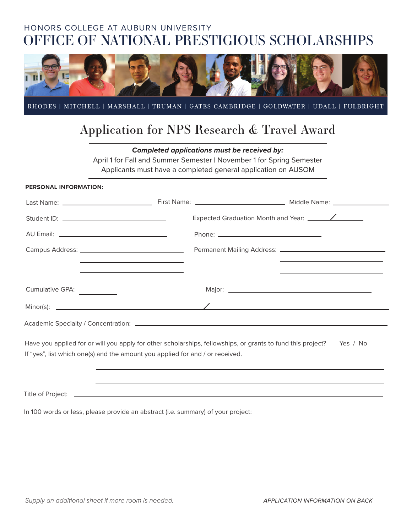# HONORS COLLEGE AT AUBURN UNIVERSITY OFFICE OF NATIONAL PRESTIGIOUS SCHOLARSHIPS



RHODES | MITCHELL | MARSHALL | TRUMAN | GATES CAMBRIDGE | GOLDWATER | UDALL | FULBRIGHT

# Application for NPS Research & Travel Award

*Completed applications must be received by:* 

April 1 for Fall and Summer Semester | November 1 for Spring Semester

Applicants must have a completed general application on AUSOM

#### **PERSONAL INFORMATION:**

| the contract of the contract of the contract of the contract of the contract of<br><u> 1989 - Johann Harry Harry Harry Harry Harry Harry Harry Harry Harry Harry Harry Harry Harry Harry Harry Harry Harry Harry Harry Harry Harry Harry Harry Harry Harry Harry Harry Harry Harry Harry Harry Harry Harry Harry Ha</u> |                                                                                                                      |
|-------------------------------------------------------------------------------------------------------------------------------------------------------------------------------------------------------------------------------------------------------------------------------------------------------------------------|----------------------------------------------------------------------------------------------------------------------|
| Cumulative GPA: ____________                                                                                                                                                                                                                                                                                            |                                                                                                                      |
|                                                                                                                                                                                                                                                                                                                         |                                                                                                                      |
| Academic Specialty / Concentration: Notified and Academic Specialty / Concentration:                                                                                                                                                                                                                                    |                                                                                                                      |
|                                                                                                                                                                                                                                                                                                                         | Have you applied for or will you apply for other scholarships, fellowships, or grants to fund this project? Yes / No |

If "yes", list which one(s) and the amount you applied for and / or received.

Title of Project: \_

In 100 words or less, please provide an abstract (i.e. summary) of your project: